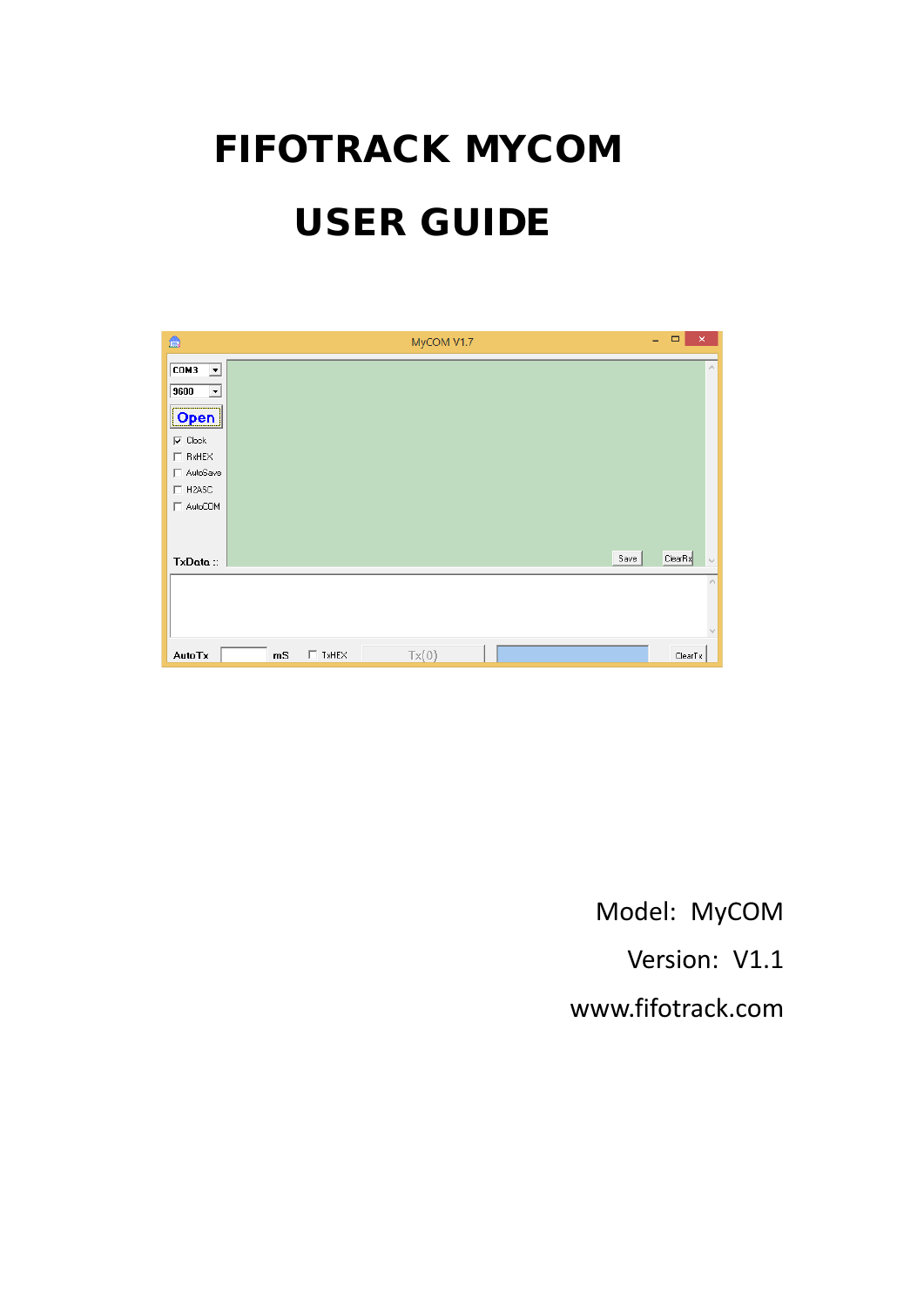# FIFOTRACK MYCOM USER GUIDE

| 盒                                                |    |              | MyCOM V1.7 |      | $\Box$<br>÷. | $\mathsf{x}$    |
|--------------------------------------------------|----|--------------|------------|------|--------------|-----------------|
| $\overline{\text{COM3}}$<br>$\blacktriangledown$ |    |              |            |      |              | $\mathcal{O}_1$ |
| 9600<br>$\blacktriangledown$                     |    |              |            |      |              |                 |
| Open                                             |    |              |            |      |              |                 |
| $\nabla$ Clock                                   |    |              |            |      |              |                 |
| $\Box$ RxHEX                                     |    |              |            |      |              |                 |
| □ AutoSave                                       |    |              |            |      |              |                 |
| $\Box$ H2ASC                                     |    |              |            |      |              |                 |
| AutoCOM                                          |    |              |            |      |              |                 |
|                                                  |    |              |            |      |              |                 |
|                                                  |    |              |            |      |              |                 |
| TxData:                                          |    |              |            | Save | ClearRx      | $\omega$        |
|                                                  |    |              |            |      |              |                 |
|                                                  |    |              |            |      |              |                 |
|                                                  |    |              |            |      |              |                 |
|                                                  |    |              |            |      |              |                 |
| AutoTx                                           | mS | $\Box$ TxHEX | Tx(0)      |      | ClearTx      |                 |

Model: MyCOM

Version: V1.1

[www.fifotrack.com](http://www.fifotrack.com/)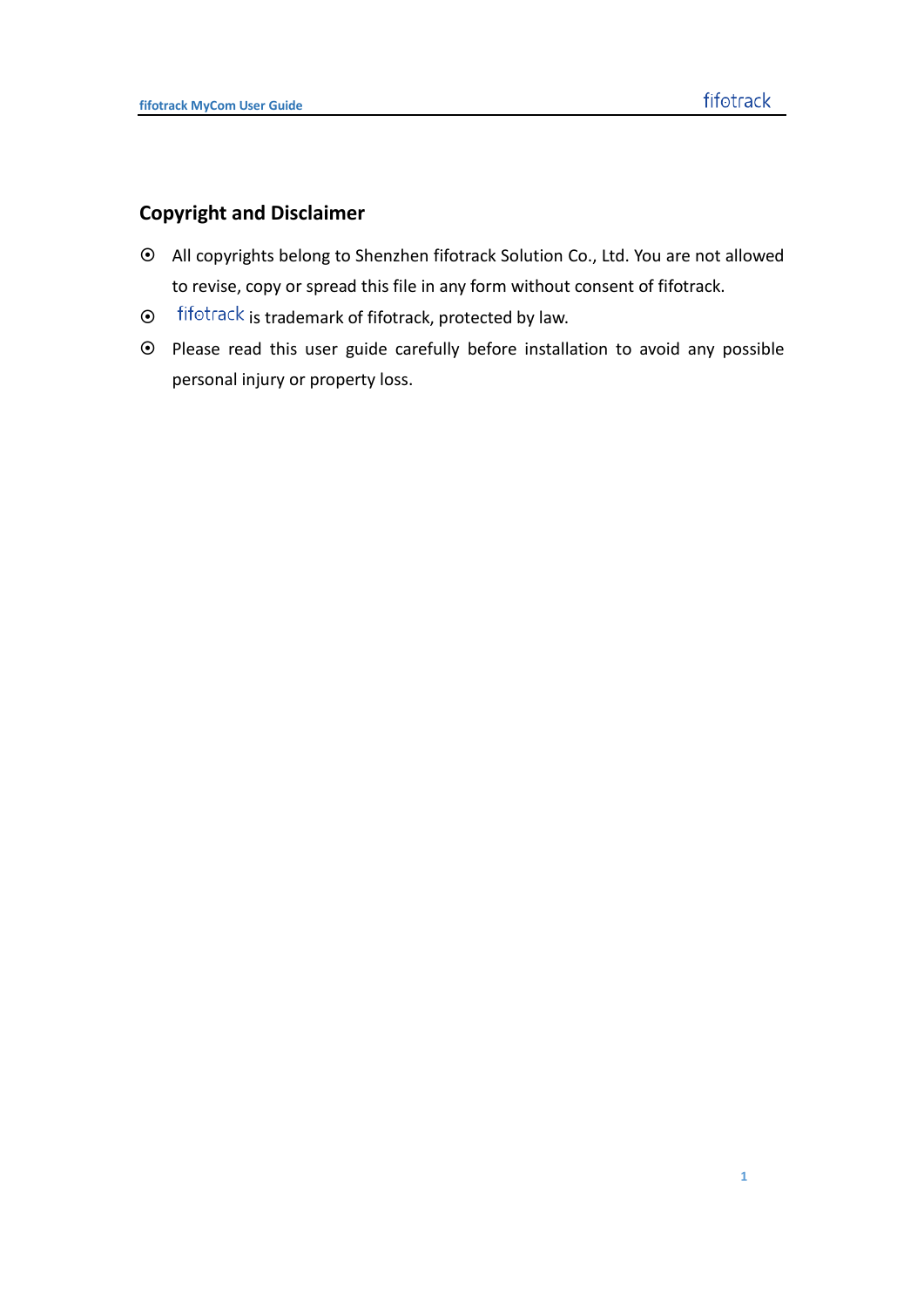### **Copyright and Disclaimer**

- All copyrights belong to Shenzhen fifotrack Solution Co., Ltd. You are not allowed to revise, copy or spread this file in any form without consent of fifotrack.
- $\odot$  fifotrack is trademark of fifotrack, protected by law.
- Please read this user guide carefully before installation to avoid any possible personal injury or property loss.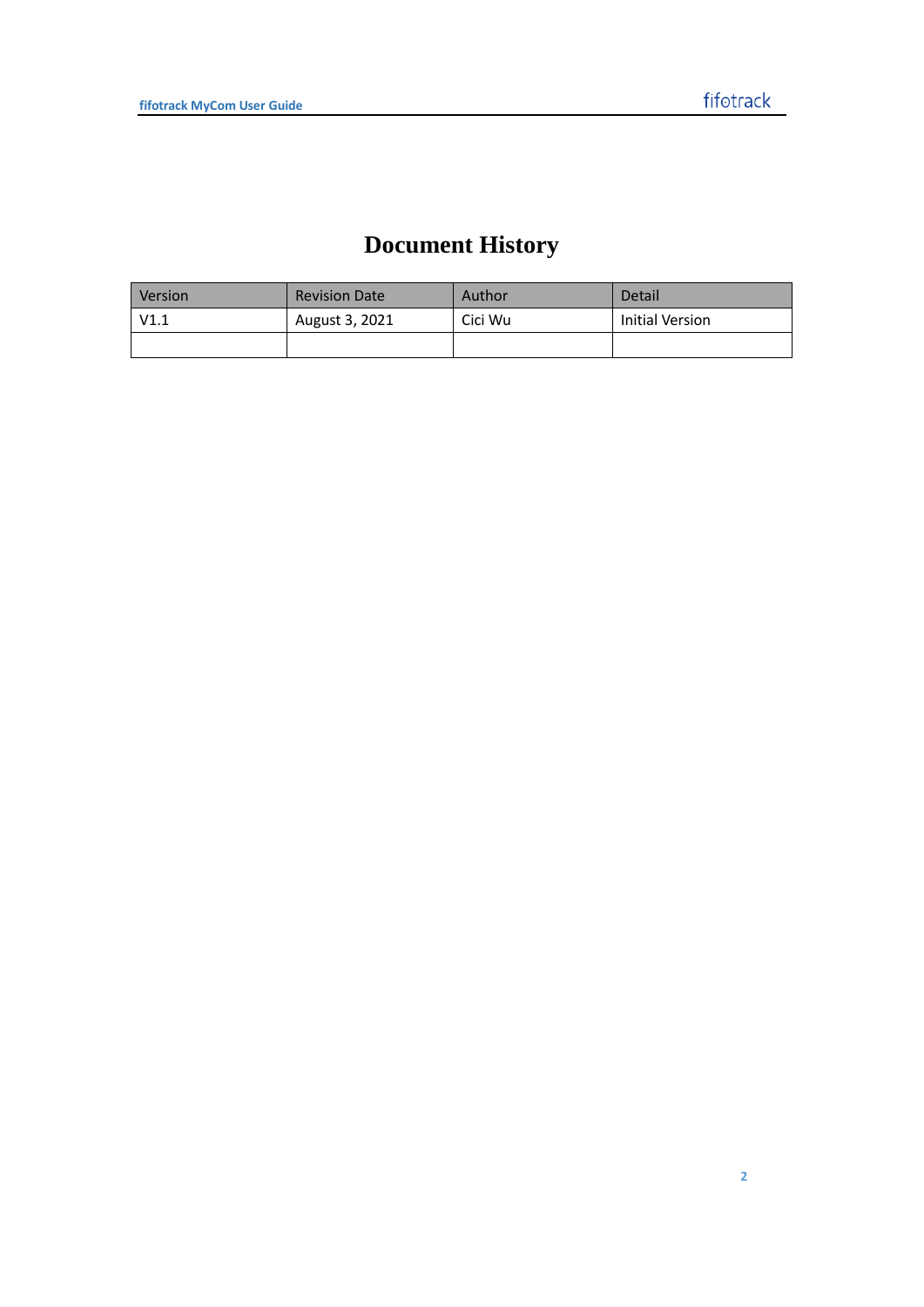# **Document History**

| Version | <b>Revision Date</b> | Author  | Detail          |
|---------|----------------------|---------|-----------------|
| V1.1    | August 3, 2021       | Cici Wu | Initial Version |
|         |                      |         |                 |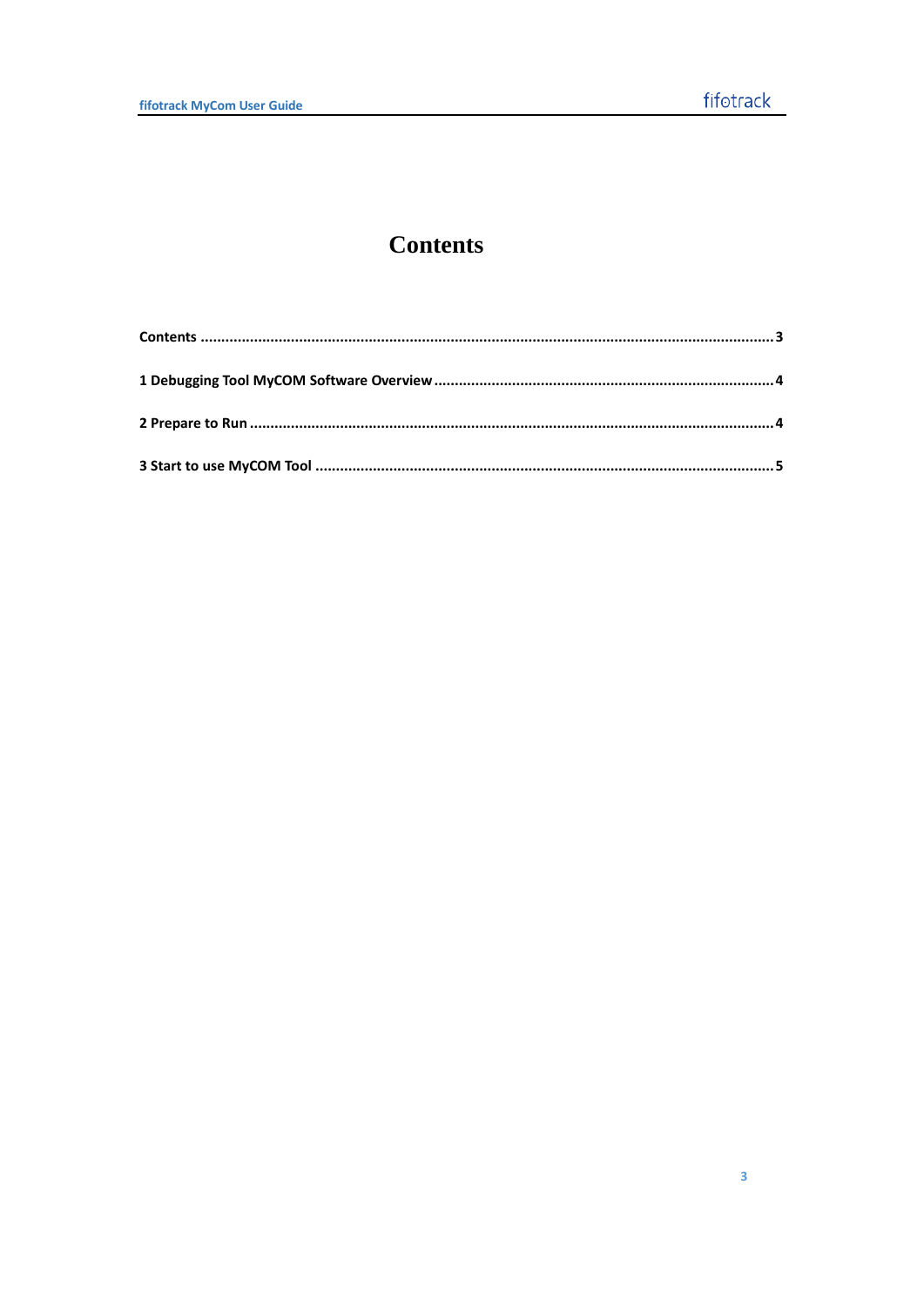# **Contents**

<span id="page-3-0"></span>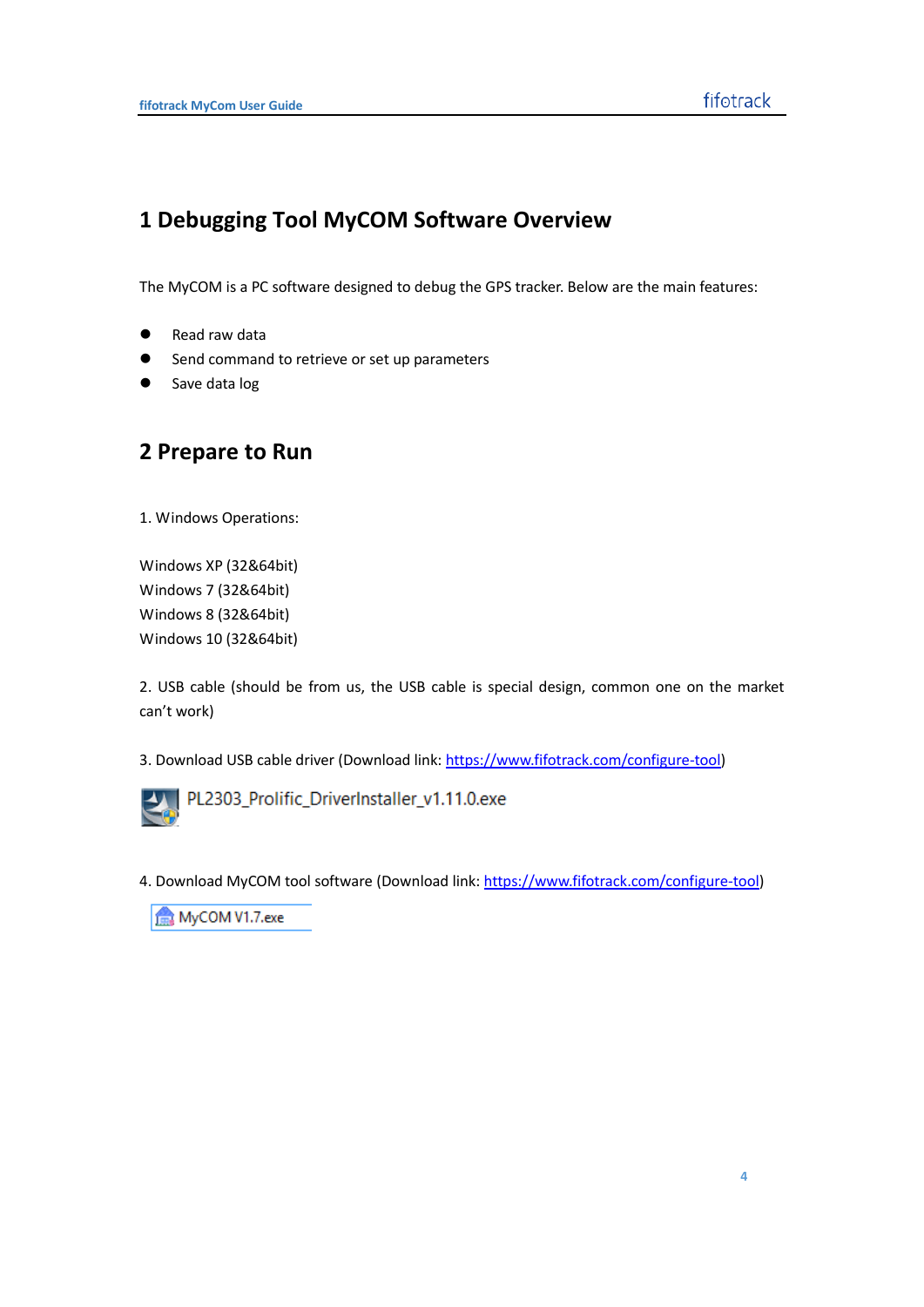## <span id="page-4-0"></span>**1 Debugging Tool MyCOM Software Overview**

The MyCOM is a PC software designed to debug the GPS tracker. Below are the main features:

- Read raw data
- Send command to retrieve or set up parameters
- <span id="page-4-1"></span>Save data log

## **2 Prepare to Run**

1. Windows Operations:

Windows XP (32&64bit) Windows 7 (32&64bit) Windows 8 (32&64bit) Windows 10 (32&64bit)

2. USB cable (should be from us, the USB cable is special design, common one on the market can't work)

3. Download USB cable driver (Download link: [https://www.fifotrack.com/configure-tool\)](https://www.fifotrack.com/configure-tool)



PL2303\_Prolific\_DriverInstaller\_v1.11.0.exe

4. Download MyCOM tool software (Download link[: https://www.fifotrack.com/configure-tool\)](https://www.fifotrack.com/configure-tool)

MyCOM V1.7.exe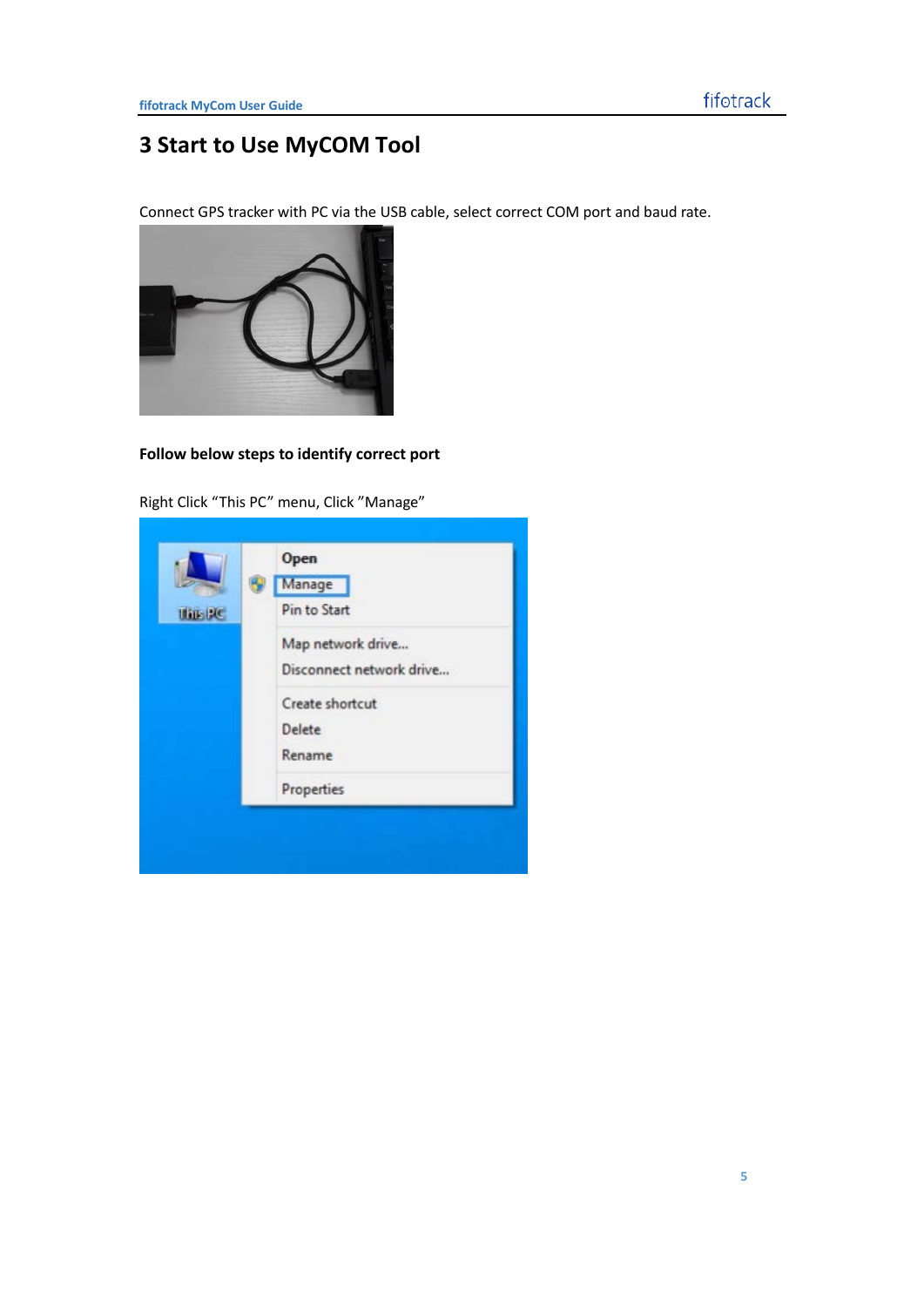# <span id="page-5-0"></span>**3 Start to Use MyCOM Tool**

Connect GPS tracker with PC via the USB cable, select correct COM port and baud rate.



#### **Follow below steps to identify correct port**

Right Click "This PC" menu, Click "Manage"

|                 | Open                     |
|-----------------|--------------------------|
|                 | Manage                   |
| <b>Ulius BC</b> | Pin to Start             |
|                 | Map network drive        |
|                 | Disconnect network drive |
|                 | Create shortcut          |
|                 | Delete                   |
|                 | Rename                   |
|                 | Properties               |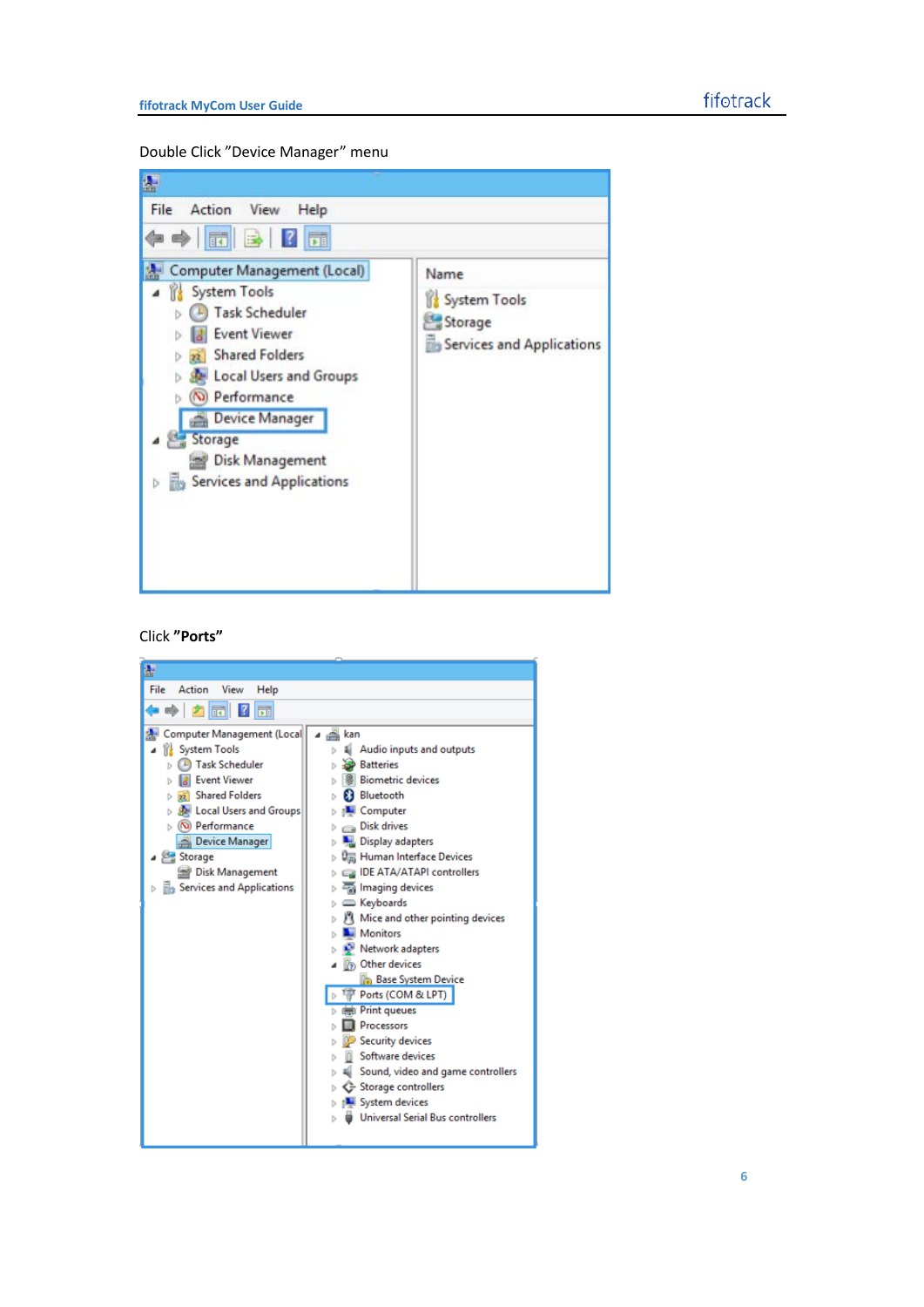Double Click "Device Manager" menu



#### Click **"Ports"**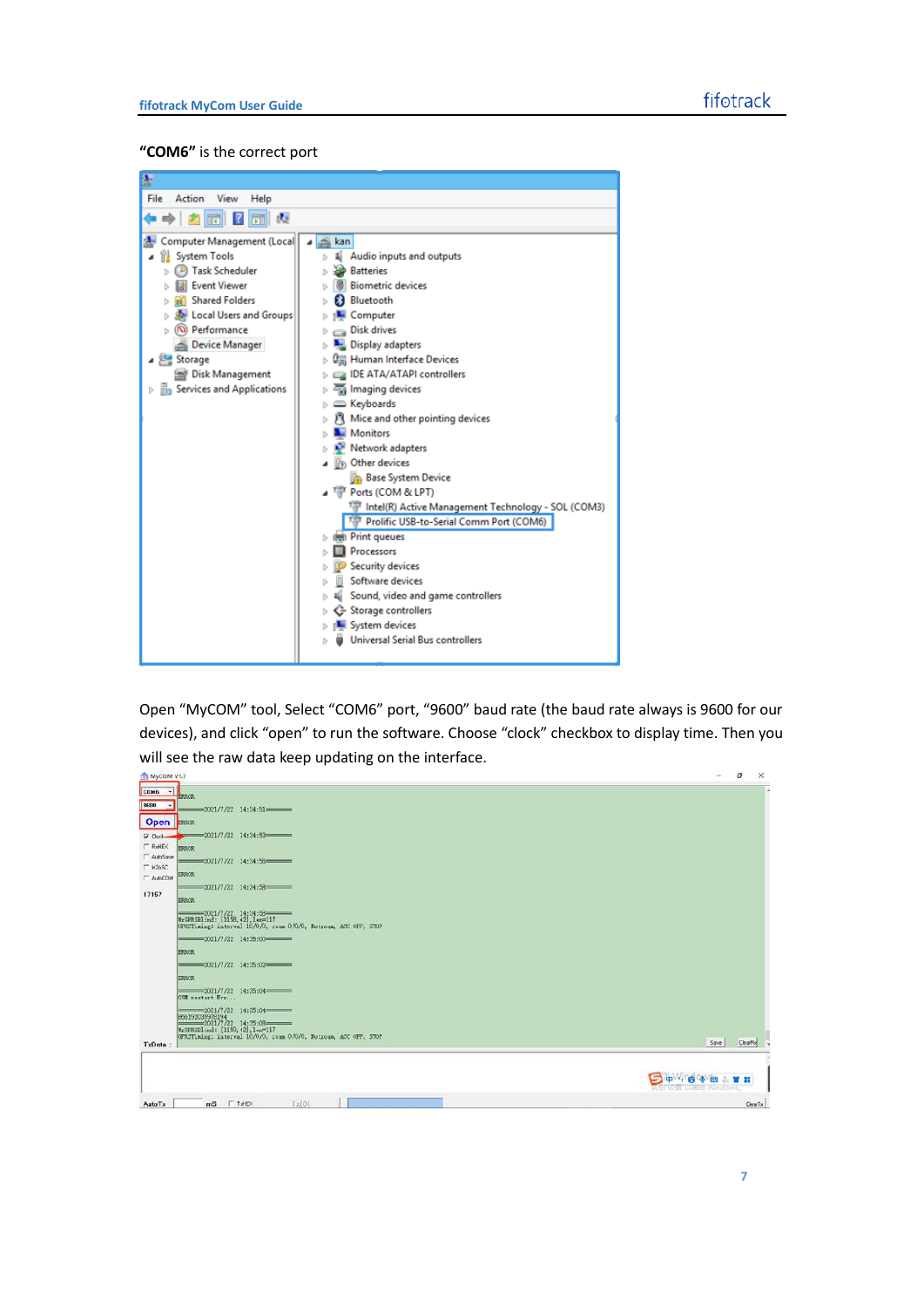#### **"COM6"** is the correct port

| g                                                                                                                                                                                                                                                                                 |                                                                                                                                                                                                                                                                                                                                                                                                            |  |  |  |  |
|-----------------------------------------------------------------------------------------------------------------------------------------------------------------------------------------------------------------------------------------------------------------------------------|------------------------------------------------------------------------------------------------------------------------------------------------------------------------------------------------------------------------------------------------------------------------------------------------------------------------------------------------------------------------------------------------------------|--|--|--|--|
| File<br>View<br>Action<br>Help                                                                                                                                                                                                                                                    |                                                                                                                                                                                                                                                                                                                                                                                                            |  |  |  |  |
| 腹<br>$? \Box$<br>$\ \mathbf{r}\ $                                                                                                                                                                                                                                                 |                                                                                                                                                                                                                                                                                                                                                                                                            |  |  |  |  |
| Computer Management (Local<br><b>System Tools</b><br><b>Task Scheduler</b><br><b>Event Viewer</b><br><sub>22</sub> Shared Folders<br>Local Users and Groups<br>(N) Performance<br>Device Manager<br>Storage<br>Disk Management<br><b>B</b> <sub>B</sub> Services and Applications | <b>△ kan</b><br>Audio inputs and outputs<br><b>Batteries</b><br><b>Biometric devices</b><br>Bluetooth<br>Computer<br>Disk drives<br>Display adapters<br>Um Human Interface Devices<br><b>B</b> IDE ATA/ATAPI controllers<br>Imaging devices<br>Composed Keyboards<br>M Mice and other pointing devices<br>Monitors<br>Network adapters<br><b>D</b> <sub>D</sub> Other devices<br><b>Base System Device</b> |  |  |  |  |
|                                                                                                                                                                                                                                                                                   | ⊿ Ports (COM & LPT)<br>IF Intel(R) Active Management Technology - SOL (COM3)<br>Prolific USB-to-Serial Comm Port (COM6)<br>Print queues<br>Processors<br><b>Security devices</b><br>Software devices<br>Sound, video and game controllers<br>G Storage controllers<br>System devices<br><b>Universal Serial Bus controllers</b>                                                                            |  |  |  |  |

Open "MyCOM" tool, Select "COM6" port, "9600" baud rate (the baud rate always is 9600 for our devices), and click "open" to run the software. Choose "clock" checkbox to display time. Then you will see the raw data keep updating on the interface.

| MyCOM V1.7                                                                |                          | a       | $\times$ |
|---------------------------------------------------------------------------|--------------------------|---------|----------|
| $CDMS$ -                                                                  |                          |         | ٠        |
| <b>ERROR</b><br>9600<br>$\rightarrow$                                     |                          |         |          |
| $-2021/7/22$ 14:34:51                                                     |                          |         |          |
| Open <b>EXROR</b>                                                         |                          |         |          |
| $-2021/7/22$ 14:34:53<br>$\nabla$ Clock-<br>$\Gamma$ ReHEX                |                          |         |          |
| <b>ERROR</b><br>AutoSave                                                  |                          |         |          |
| $-2021/7/22$ 14:34:56<br>$\Gamma$ H2ASC                                   |                          |         |          |
| <b>ERROR</b><br><b>F</b> AutoCOM                                          |                          |         |          |
| $-2021/7/22$ 14:34:58<br>17157                                            |                          |         |          |
| <b>HRROK</b>                                                              |                          |         |          |
| $-2021/7/22$ 14:34:58<br>WrGPRSBlind: [1158, 42], len=117                 |                          |         |          |
| GPRSTiming: interval 10/0/0, roam 0/0/0, Notroam, ACC OFF, STOP           |                          |         |          |
| $-2021/7/22$ 14:35:00                                                     |                          |         |          |
| <b>ERROR</b>                                                              |                          |         |          |
| $-2021/7/22$ 14:35:02                                                     |                          |         |          |
| <b>ERROR</b>                                                              |                          |         |          |
| $-2021/7/22$ 14:35:04                                                     |                          |         |          |
| GSM restart Err                                                           |                          |         |          |
| $-2021/7/22$ 14:35:04<br>896192035978194<br>2021/7/22 14:35:08            |                          |         |          |
| WrGPRSBlind: [1159, 42], len=117                                          |                          |         |          |
| GPRSTining: interval 10/0/0, roam 0/0/0, Notroam, ACC OFF, STOP<br>TxData | Save                     | ClearRy |          |
|                                                                           |                          |         |          |
|                                                                           |                          |         |          |
| <b>up Vil</b>                                                             | e<br>画                   |         |          |
|                                                                           | 36 ST 187 LUXIER Windows |         |          |
| Tx(0)<br><b>F</b> TxHEX<br>AutoTx<br>m <sub>S</sub>                       |                          |         | ClearTx  |